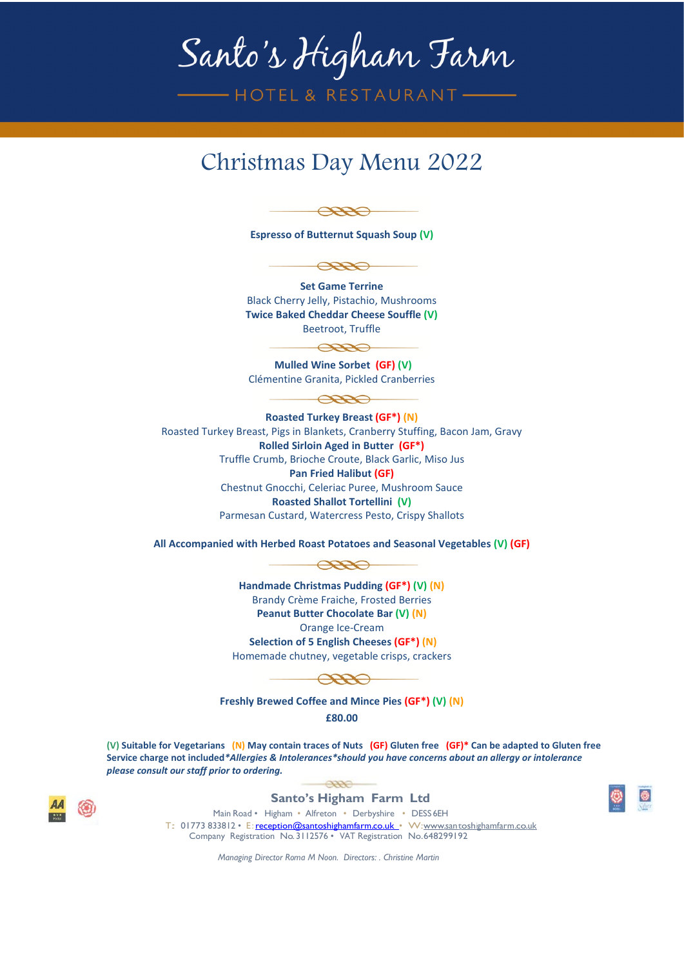## Santo's Higham Farm

— HOTEL & RESTAURANT-

## Christmas Day Menu 2022

 $\bigoplus$ 

**Espresso of Butternut Squash Soup (V)** 



**Set Game Terrine** Black Cherry Jelly, Pistachio, Mushrooms **Twice Baked Cheddar Cheese Souffle (V)** Beetroot, Truffle

**Mulled Wine Sorbet (GF) (V)**  Clémentine Granita, Pickled Cranberries

 $\bigoplus$ 

 $\bigoplus$ 

**Roasted Turkey Breast (GF\*) (N)** Roasted Turkey Breast, Pigs in Blankets, Cranberry Stuffing, Bacon Jam, Gravy **Rolled Sirloin Aged in Butter (GF\*)** Truffle Crumb, Brioche Croute, Black Garlic, Miso Jus **Pan Fried Halibut (GF)** Chestnut Gnocchi, Celeriac Puree, Mushroom Sauce **Roasted Shallot Tortellini (V)** Parmesan Custard, Watercress Pesto, Crispy Shallots

**All Accompanied with Herbed Roast Potatoes and Seasonal Vegetables (V) (GF)**



**Handmade Christmas Pudding (GF\*) (V) (N)** Brandy Crème Fraiche, Frosted Berries **Peanut Butter Chocolate Bar (V) (N)** Orange Ice-Cream **Selection of 5 English Cheeses (GF\*) (N)**  Homemade chutney, vegetable crisps, crackers



**Freshly Brewed Coffee and Mince Pies (GF\*) (V) (N) £80.00**

**(V) Suitable for Vegetarians (N) May contain traces of Nuts (GF) Gluten free (GF)\* Can be adapted to Gluten free Service charge not included***\*Allergies & Intolerances\*should you have concerns about an allergy or intolerance please consult our staff prior to ordering.* 





 $\overline{O}$ 

Main Road • Higham • Alfreton • Derbyshire • DESS 6EH T: 01773 833812 • E[:reception@santoshighamfarm.co.uk •](mailto:reception@santoshighamfarm.co.uk) W[:www.santoshighamfarm.co.uk](http://www.santoshighamfarm.co.uk/) Company Registration No.3112576 • VAT Registration No.648299192

*Managing Director Roma M Noon. Directors: . Christine Martin*